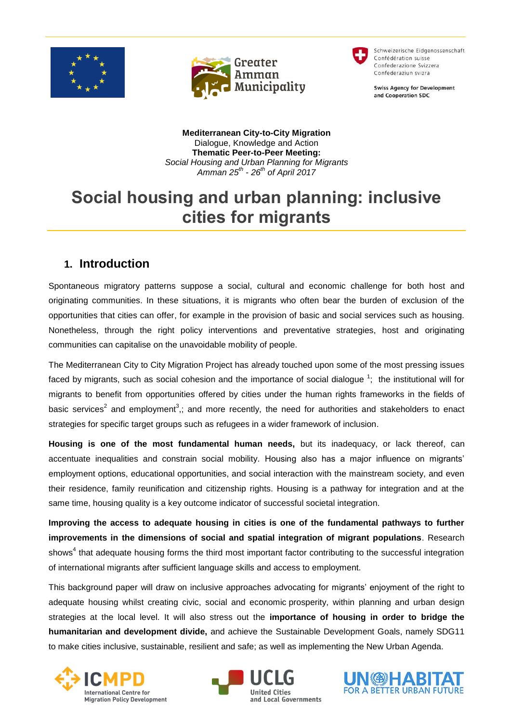





Schweizerische Eidgenossenschaft Confédération suisse Confederazione Svizzera Confederaziun svizra

**Swiss Agency for Development** and Cooperation SDC

**Mediterranean City-to-City Migration** Dialogue, Knowledge and Action **Thematic Peer-to-Peer Meeting:** *Social Housing and Urban Planning for Migrants Amman 25th - 26th of April 2017*

# **Social housing and urban planning: inclusive cities for migrants**

# **1. Introduction**

Spontaneous migratory patterns suppose a social, cultural and economic challenge for both host and originating communities. In these situations, it is migrants who often bear the burden of exclusion of the opportunities that cities can offer, for example in the provision of basic and social services such as housing. Nonetheless, through the right policy interventions and preventative strategies, host and originating communities can capitalise on the unavoidable mobility of people.

The Mediterranean City to City Migration Project has already touched upon some of the most pressing issues faced by migrants, such as social cohesion and the importance of social dialogue  $1$ ; the institutional will for migrants to benefit from opportunities offered by cities under the human rights frameworks in the fields of basic services<sup>2</sup> and employment<sup>3</sup>,; and more recently, the need for authorities and stakeholders to enact strategies for specific target groups such as refugees in a wider framework of inclusion.

**Housing is one of the most fundamental human needs,** but its inadequacy, or lack thereof, can accentuate inequalities and constrain social mobility. Housing also has a major influence on migrants" employment options, educational opportunities, and social interaction with the mainstream society, and even their residence, family reunification and citizenship rights. Housing is a pathway for integration and at the same time, housing quality is a key outcome indicator of successful societal integration.

**Improving the access to adequate housing in cities is one of the fundamental pathways to further improvements in the dimensions of social and spatial integration of migrant populations**. Research shows<sup>4</sup> that adequate housing forms the third most important factor contributing to the successful integration of international migrants after sufficient language skills and access to employment.

This background paper will draw on inclusive approaches advocating for migrants" enjoyment of the right to adequate housing whilst creating civic, social and economic prosperity, within planning and urban design strategies at the local level. It will also stress out the **importance of housing in order to bridge the humanitarian and development divide,** and achieve the Sustainable Development Goals, namely SDG11 to make cities inclusive, sustainable, resilient and safe; as well as implementing the New Urban Agenda.





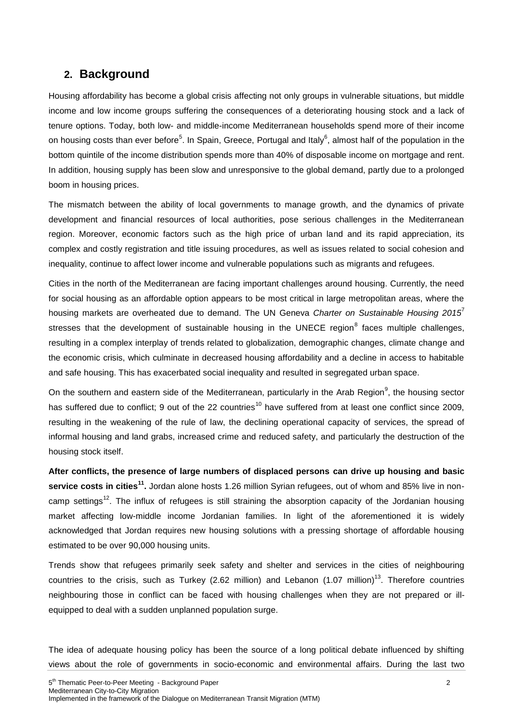# **2. Background**

Housing affordability has become a global crisis affecting not only groups in vulnerable situations, but middle income and low income groups suffering the consequences of a deteriorating housing stock and a lack of tenure options. Today, both low- and middle-income Mediterranean households spend more of their income on housing costs than ever before<sup>5</sup>. In Spain, Greece, Portugal and Italy<sup>6</sup>, almost half of the population in the bottom quintile of the income distribution spends more than 40% of disposable income on mortgage and rent. In addition, housing supply has been slow and unresponsive to the global demand, partly due to a prolonged boom in housing prices.

The mismatch between the ability of local governments to manage growth, and the dynamics of private development and financial resources of local authorities, pose serious challenges in the Mediterranean region. Moreover, economic factors such as the high price of urban land and its rapid appreciation, its complex and costly registration and title issuing procedures, as well as issues related to social cohesion and inequality, continue to affect lower income and vulnerable populations such as migrants and refugees.

Cities in the north of the Mediterranean are facing important challenges around housing. Currently, the need for social housing as an affordable option appears to be most critical in large metropolitan areas, where the housing markets are overheated due to demand. The UN Geneva *Charter on Sustainable Housing 2015*<sup>7</sup> stresses that the development of sustainable housing in the UNECE region<sup>8</sup> faces multiple challenges, resulting in a complex interplay of trends related to globalization, demographic changes, climate change and the economic crisis, which culminate in decreased housing affordability and a decline in access to habitable and safe housing. This has exacerbated social inequality and resulted in segregated urban space.

On the southern and eastern side of the Mediterranean, particularly in the Arab Region $9$ , the housing sector has suffered due to conflict; 9 out of the 22 countries<sup>10</sup> have suffered from at least one conflict since 2009, resulting in the weakening of the rule of law, the declining operational capacity of services, the spread of informal housing and land grabs, increased crime and reduced safety, and particularly the destruction of the housing stock itself.

**After conflicts, the presence of large numbers of displaced persons can drive up housing and basic service costs in cities<sup>11</sup> .** Jordan alone hosts 1.26 million Syrian refugees, out of whom and 85% live in noncamp settings<sup>12</sup>. The influx of refugees is still straining the absorption capacity of the Jordanian housing market affecting low-middle income Jordanian families. In light of the aforementioned it is widely acknowledged that Jordan requires new housing solutions with a pressing shortage of affordable housing estimated to be over 90,000 housing units.

Trends show that refugees primarily seek safety and shelter and services in the cities of neighbouring countries to the crisis, such as Turkey (2.62 million) and Lebanon (1.07 million)<sup>13</sup>. Therefore countries neighbouring those in conflict can be faced with housing challenges when they are not prepared or illequipped to deal with a sudden unplanned population surge.

The idea of adequate housing policy has been the source of a long political debate influenced by shifting views about the role of governments in socio-economic and environmental affairs. During the last two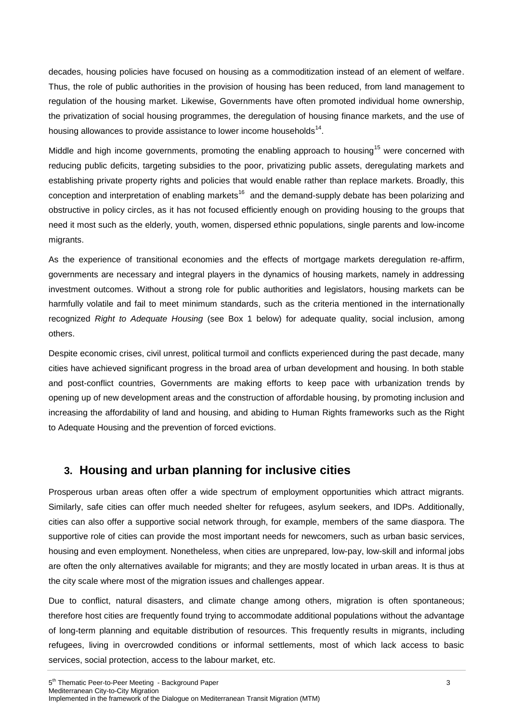decades, housing policies have focused on housing as a commoditization instead of an element of welfare. Thus, the role of public authorities in the provision of housing has been reduced, from land management to regulation of the housing market. Likewise, Governments have often promoted individual home ownership, the privatization of social housing programmes, the deregulation of housing finance markets, and the use of housing allowances to provide assistance to lower income households $^{14}$ .

Middle and high income governments, promoting the enabling approach to housing<sup>15</sup> were concerned with reducing public deficits, targeting subsidies to the poor, privatizing public assets, deregulating markets and establishing private property rights and policies that would enable rather than replace markets. Broadly, this conception and interpretation of enabling markets<sup>16</sup> and the demand-supply debate has been polarizing and obstructive in policy circles, as it has not focused efficiently enough on providing housing to the groups that need it most such as the elderly, youth, women, dispersed ethnic populations, single parents and low-income migrants.

As the experience of transitional economies and the effects of mortgage markets deregulation re-affirm, governments are necessary and integral players in the dynamics of housing markets, namely in addressing investment outcomes. Without a strong role for public authorities and legislators, housing markets can be harmfully volatile and fail to meet minimum standards, such as the criteria mentioned in the internationally recognized *Right to Adequate Housing* (see Box 1 below) for adequate quality, social inclusion, among others.

Despite economic crises, civil unrest, political turmoil and conflicts experienced during the past decade, many cities have achieved significant progress in the broad area of urban development and housing. In both stable and post-conflict countries, Governments are making efforts to keep pace with urbanization trends by opening up of new development areas and the construction of affordable housing, by promoting inclusion and increasing the affordability of land and housing, and abiding to Human Rights frameworks such as the Right to Adequate Housing and the prevention of forced evictions.

## **3. Housing and urban planning for inclusive cities**

Prosperous urban areas often offer a wide spectrum of employment opportunities which attract migrants. Similarly, safe cities can offer much needed shelter for refugees, asylum seekers, and IDPs. Additionally, cities can also offer a supportive social network through, for example, members of the same diaspora. The supportive role of cities can provide the most important needs for newcomers, such as urban basic services, housing and even employment. Nonetheless, when cities are unprepared, low-pay, low-skill and informal jobs are often the only alternatives available for migrants; and they are mostly located in urban areas. It is thus at the city scale where most of the migration issues and challenges appear.

Due to conflict, natural disasters, and climate change among others, migration is often spontaneous; therefore host cities are frequently found trying to accommodate additional populations without the advantage of long-term planning and equitable distribution of resources. This frequently results in migrants, including refugees, living in overcrowded conditions or informal settlements, most of which lack access to basic services, social protection, access to the labour market, etc.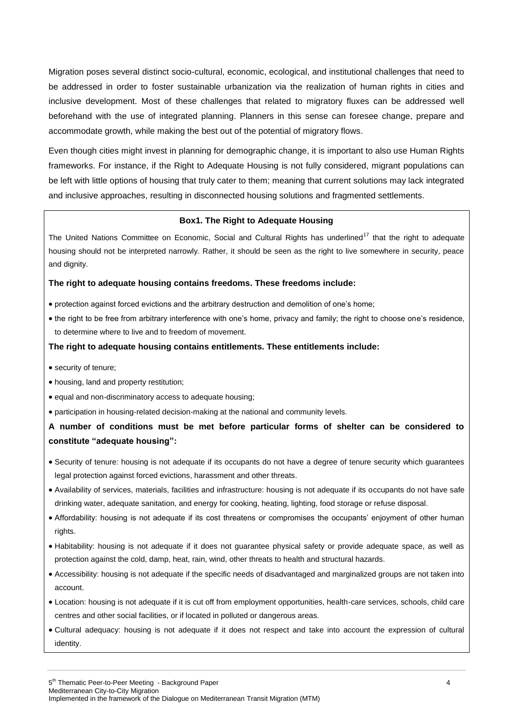Migration poses several distinct socio-cultural, economic, ecological, and institutional challenges that need to be addressed in order to foster sustainable urbanization via the realization of human rights in cities and inclusive development. Most of these challenges that related to migratory fluxes can be addressed well beforehand with the use of integrated planning. Planners in this sense can foresee change, prepare and accommodate growth, while making the best out of the potential of migratory flows.

Even though cities might invest in planning for demographic change, it is important to also use Human Rights frameworks. For instance, if the Right to Adequate Housing is not fully considered, migrant populations can be left with little options of housing that truly cater to them; meaning that current solutions may lack integrated and inclusive approaches, resulting in disconnected housing solutions and fragmented settlements.

#### **Box1. The Right to Adequate Housing**

The United Nations Committee on Economic, Social and Cultural Rights has underlined<sup>17</sup> that the right to adequate housing should not be interpreted narrowly. Rather, it should be seen as the right to live somewhere in security, peace and dignity.

#### **The right to adequate housing contains freedoms. These freedoms include:**

- protection against forced evictions and the arbitrary destruction and demolition of one"s home;
- the right to be free from arbitrary interference with one's home, privacy and family; the right to choose one's residence, to determine where to live and to freedom of movement.

#### **The right to adequate housing contains entitlements. These entitlements include:**

- security of tenure;
- housing, land and property restitution;
- equal and non-discriminatory access to adequate housing;
- participation in housing-related decision-making at the national and community levels.

## **A number of conditions must be met before particular forms of shelter can be considered to constitute "adequate housing":**

- Security of tenure: housing is not adequate if its occupants do not have a degree of tenure security which guarantees legal protection against forced evictions, harassment and other threats.
- Availability of services, materials, facilities and infrastructure: housing is not adequate if its occupants do not have safe drinking water, adequate sanitation, and energy for cooking, heating, lighting, food storage or refuse disposal.
- Affordability: housing is not adequate if its cost threatens or compromises the occupants" enjoyment of other human rights.
- Habitability: housing is not adequate if it does not guarantee physical safety or provide adequate space, as well as protection against the cold, damp, heat, rain, wind, other threats to health and structural hazards.
- Accessibility: housing is not adequate if the specific needs of disadvantaged and marginalized groups are not taken into account.
- Location: housing is not adequate if it is cut off from employment opportunities, health-care services, schools, child care centres and other social facilities, or if located in polluted or dangerous areas.
- Cultural adequacy: housing is not adequate if it does not respect and take into account the expression of cultural identity.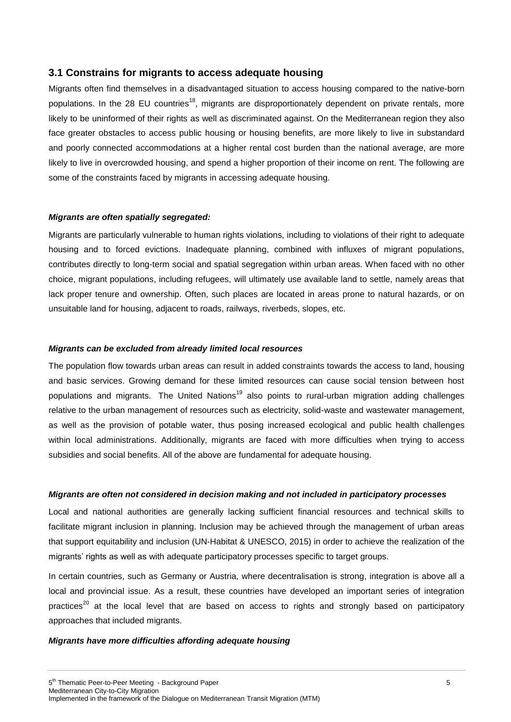#### **3.1 Constrains for migrants to access adequate housing**

Migrants often find themselves in a disadvantaged situation to access housing compared to the native-born populations. In the 28 EU countries<sup>18</sup>, migrants are disproportionately dependent on private rentals, more likely to be uninformed of their rights as well as discriminated against. On the Mediterranean region they also face greater obstacles to access public housing or housing benefits, are more likely to live in substandard and poorly connected accommodations at a higher rental cost burden than the national average, are more likely to live in overcrowded housing, and spend a higher proportion of their income on rent. The following are some of the constraints faced by migrants in accessing adequate housing.

#### *Migrants are often spatially segregated:*

Migrants are particularly vulnerable to human rights violations, including to violations of their right to adequate housing and to forced evictions. Inadequate planning, combined with influxes of migrant populations, contributes directly to long-term social and spatial segregation within urban areas. When faced with no other choice, migrant populations, including refugees, will ultimately use available land to settle, namely areas that lack proper tenure and ownership. Often, such places are located in areas prone to natural hazards, or on unsuitable land for housing, adjacent to roads, railways, riverbeds, slopes, etc.

#### *Migrants can be excluded from already limited local resources*

The population flow towards urban areas can result in added constraints towards the access to land, housing and basic services. Growing demand for these limited resources can cause social tension between host populations and migrants. The United Nations<sup>19</sup> also points to rural-urban migration adding challenges relative to the urban management of resources such as electricity, solid-waste and wastewater management, as well as the provision of potable water, thus posing increased ecological and public health challenges within local administrations. Additionally, migrants are faced with more difficulties when trying to access subsidies and social benefits. All of the above are fundamental for adequate housing.

#### *Migrants are often not considered in decision making and not included in participatory processes*

Local and national authorities are generally lacking sufficient financial resources and technical skills to facilitate migrant inclusion in planning. Inclusion may be achieved through the management of urban areas that support equitability and inclusion (UN-Habitat & UNESCO, 2015) in order to achieve the realization of the migrants' rights as well as with adequate participatory processes specific to target groups.

In certain countries, such as Germany or Austria, where decentralisation is strong, integration is above all a local and provincial issue. As a result, these countries have developed an important series of integration practices<sup>20</sup> at the local level that are based on access to rights and strongly based on participatory approaches that included migrants.

#### *Migrants have more difficulties affording adequate housing*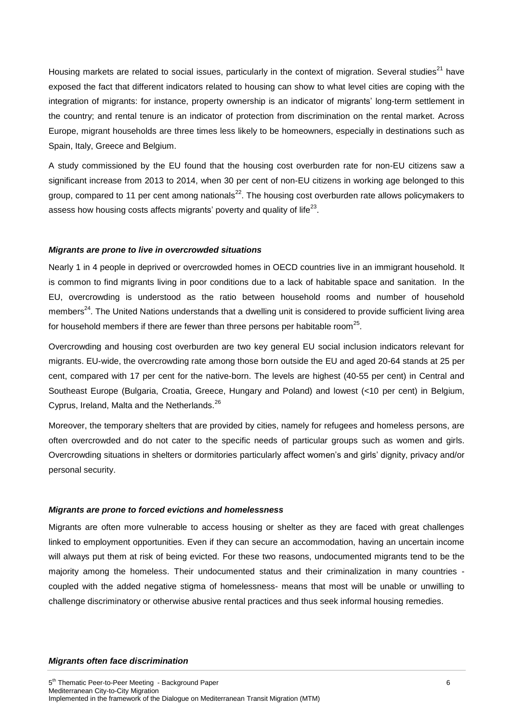Housing markets are related to social issues, particularly in the context of migration. Several studies<sup>21</sup> have exposed the fact that different indicators related to housing can show to what level cities are coping with the integration of migrants: for instance, property ownership is an indicator of migrants" long-term settlement in the country; and rental tenure is an indicator of protection from discrimination on the rental market. Across Europe, migrant households are three times less likely to be homeowners, especially in destinations such as Spain, Italy, Greece and Belgium.

A study commissioned by the EU found that the housing cost overburden rate for non-EU citizens saw a significant increase from 2013 to 2014, when 30 per cent of non-EU citizens in working age belonged to this group, compared to 11 per cent among nationals<sup>22</sup>. The housing cost overburden rate allows policymakers to assess how housing costs affects migrants' poverty and quality of life $^{23}$ .

#### *Migrants are prone to live in overcrowded situations*

Nearly 1 in 4 people in deprived or overcrowded homes in OECD countries live in an immigrant household. It is common to find migrants living in poor conditions due to a lack of habitable space and sanitation. In the EU, overcrowding is understood as the ratio between household rooms and number of household members<sup>24</sup>. The United Nations understands that a dwelling unit is considered to provide sufficient living area for household members if there are fewer than three persons per habitable room<sup>25</sup>.

Overcrowding and housing cost overburden are two key general EU social inclusion indicators relevant for migrants. EU-wide, the overcrowding rate among those born outside the EU and aged 20-64 stands at 25 per cent, compared with 17 per cent for the native-born. The levels are highest (40-55 per cent) in Central and Southeast Europe (Bulgaria, Croatia, Greece, Hungary and Poland) and lowest (<10 per cent) in Belgium, Cyprus, Ireland, Malta and the Netherlands.<sup>26</sup>

Moreover, the temporary shelters that are provided by cities, namely for refugees and homeless persons, are often overcrowded and do not cater to the specific needs of particular groups such as women and girls. Overcrowding situations in shelters or dormitories particularly affect women"s and girls" dignity, privacy and/or personal security.

#### *Migrants are prone to forced evictions and homelessness*

Migrants are often more vulnerable to access housing or shelter as they are faced with great challenges linked to employment opportunities. Even if they can secure an accommodation, having an uncertain income will always put them at risk of being evicted. For these two reasons, undocumented migrants tend to be the majority among the homeless. Their undocumented status and their criminalization in many countries coupled with the added negative stigma of homelessness- means that most will be unable or unwilling to challenge discriminatory or otherwise abusive rental practices and thus seek informal housing remedies.

#### *Migrants often face discrimination*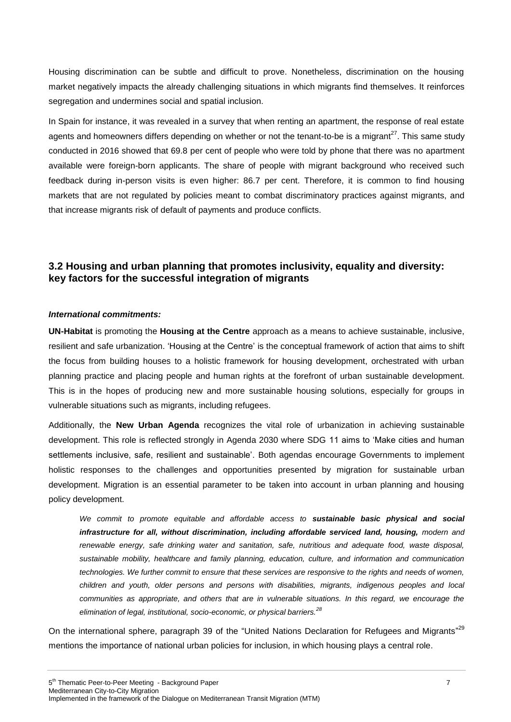Housing discrimination can be subtle and difficult to prove. Nonetheless, discrimination on the housing market negatively impacts the already challenging situations in which migrants find themselves. It reinforces segregation and undermines social and spatial inclusion.

In Spain for instance, it was revealed in a survey that when renting an apartment, the response of real estate agents and homeowners differs depending on whether or not the tenant-to-be is a migrant<sup>27</sup>. This same study conducted in 2016 showed that 69.8 per cent of people who were told by phone that there was no apartment available were foreign-born applicants. The share of people with migrant background who received such feedback during in-person visits is even higher: 86.7 per cent. Therefore, it is common to find housing markets that are not regulated by policies meant to combat discriminatory practices against migrants, and that increase migrants risk of default of payments and produce conflicts.

## **3.2 Housing and urban planning that promotes inclusivity, equality and diversity: key factors for the successful integration of migrants**

#### *International commitments:*

**UN-Habitat** is promoting the **Housing at the Centre** approach as a means to achieve sustainable, inclusive, resilient and safe urbanization. "Housing at the Centre" is the conceptual framework of action that aims to shift the focus from building houses to a holistic framework for housing development, orchestrated with urban planning practice and placing people and human rights at the forefront of urban sustainable development. This is in the hopes of producing new and more sustainable housing solutions, especially for groups in vulnerable situations such as migrants, including refugees.

Additionally, the **New Urban Agenda** recognizes the vital role of urbanization in achieving sustainable development. This role is reflected strongly in Agenda 2030 where SDG 11 aims to "Make cities and human settlements inclusive, safe, resilient and sustainable'. Both agendas encourage Governments to implement holistic responses to the challenges and opportunities presented by migration for sustainable urban development. Migration is an essential parameter to be taken into account in urban planning and housing policy development.

*We commit to promote equitable and affordable access to sustainable basic physical and social infrastructure for all, without discrimination, including affordable serviced land, housing, modern and renewable energy, safe drinking water and sanitation, safe, nutritious and adequate food, waste disposal, sustainable mobility, healthcare and family planning, education, culture, and information and communication technologies. We further commit to ensure that these services are responsive to the rights and needs of women, children and youth, older persons and persons with disabilities, migrants, indigenous peoples and local communities as appropriate, and others that are in vulnerable situations. In this regard, we encourage the elimination of legal, institutional, socio-economic, or physical barriers.<sup>28</sup>*

On the international sphere, paragraph 39 of the "United Nations Declaration for Refugees and Migrants"<sup>29</sup> mentions the importance of national urban policies for inclusion, in which housing plays a central role.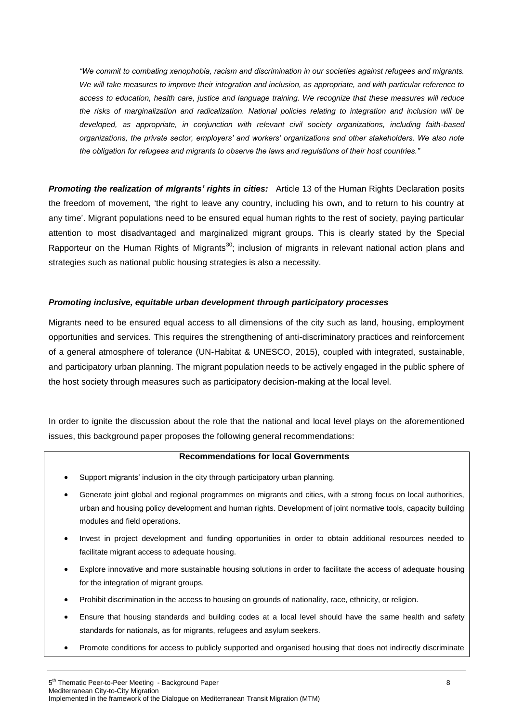*"We commit to combating xenophobia, racism and discrimination in our societies against refugees and migrants. We will take measures to improve their integration and inclusion, as appropriate, and with particular reference to access to education, health care, justice and language training. We recognize that these measures will reduce the risks of marginalization and radicalization. National policies relating to integration and inclusion will be developed, as appropriate, in conjunction with relevant civil society organizations, including faith-based organizations, the private sector, employers' and workers' organizations and other stakeholders. We also note the obligation for refugees and migrants to observe the laws and regulations of their host countries."*

*Promoting the realization of migrants' rights in cities:* Article 13 of the Human Rights Declaration posits the freedom of movement, "the right to leave any country, including his own, and to return to his country at any time". Migrant populations need to be ensured equal human rights to the rest of society, paying particular attention to most disadvantaged and marginalized migrant groups. This is clearly stated by the Special Rapporteur on the Human Rights of Migrants<sup>30</sup>; inclusion of migrants in relevant national action plans and strategies such as national public housing strategies is also a necessity.

#### *Promoting inclusive, equitable urban development through participatory processes*

Migrants need to be ensured equal access to all dimensions of the city such as land, housing, employment opportunities and services. This requires the strengthening of anti-discriminatory practices and reinforcement of a general atmosphere of tolerance (UN-Habitat & UNESCO, 2015), coupled with integrated, sustainable, and participatory urban planning. The migrant population needs to be actively engaged in the public sphere of the host society through measures such as participatory decision-making at the local level.

In order to ignite the discussion about the role that the national and local level plays on the aforementioned issues, this background paper proposes the following general recommendations:

#### **Recommendations for local Governments**

- Support migrants' inclusion in the city through participatory urban planning.
- Generate joint global and regional programmes on migrants and cities, with a strong focus on local authorities, urban and housing policy development and human rights. Development of joint normative tools, capacity building modules and field operations.
- Invest in project development and funding opportunities in order to obtain additional resources needed to facilitate migrant access to adequate housing.
- Explore innovative and more sustainable housing solutions in order to facilitate the access of adequate housing for the integration of migrant groups.
- Prohibit discrimination in the access to housing on grounds of nationality, race, ethnicity, or religion.
- Ensure that housing standards and building codes at a local level should have the same health and safety standards for nationals, as for migrants, refugees and asylum seekers.
- Promote conditions for access to publicly supported and organised housing that does not indirectly discriminate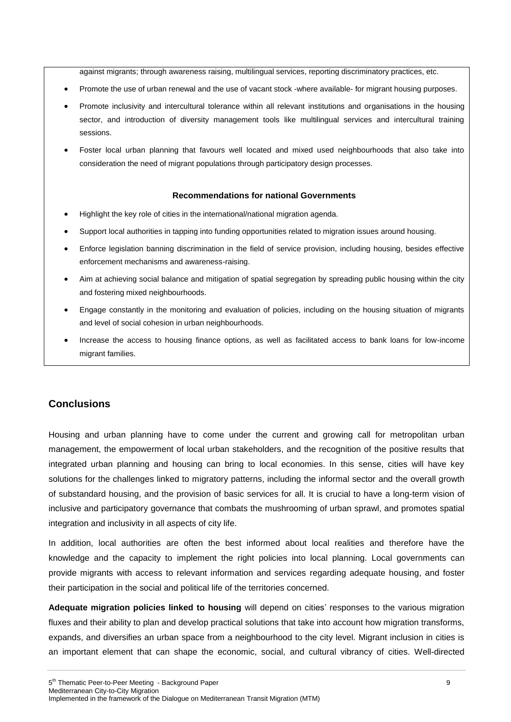against migrants; through awareness raising, multilingual services, reporting discriminatory practices, etc.

- Promote the use of urban renewal and the use of vacant stock -where available- for migrant housing purposes.
- Promote inclusivity and intercultural tolerance within all relevant institutions and organisations in the housing sector, and introduction of diversity management tools like multilingual services and intercultural training sessions.
- Foster local urban planning that favours well located and mixed used neighbourhoods that also take into consideration the need of migrant populations through participatory design processes.

#### **Recommendations for national Governments**

- Highlight the key role of cities in the international/national migration agenda.
- Support local authorities in tapping into funding opportunities related to migration issues around housing.
- Enforce legislation banning discrimination in the field of service provision, including housing, besides effective enforcement mechanisms and awareness-raising.
- Aim at achieving social balance and mitigation of spatial segregation by spreading public housing within the city and fostering mixed neighbourhoods.
- Engage constantly in the monitoring and evaluation of policies, including on the housing situation of migrants and level of social cohesion in urban neighbourhoods.
- Increase the access to housing finance options, as well as facilitated access to bank loans for low-income migrant families.

### **Conclusions**

Housing and urban planning have to come under the current and growing call for metropolitan urban management, the empowerment of local urban stakeholders, and the recognition of the positive results that integrated urban planning and housing can bring to local economies. In this sense, cities will have key solutions for the challenges linked to migratory patterns, including the informal sector and the overall growth of substandard housing, and the provision of basic services for all. It is crucial to have a long-term vision of inclusive and participatory governance that combats the mushrooming of urban sprawl, and promotes spatial integration and inclusivity in all aspects of city life.

In addition, local authorities are often the best informed about local realities and therefore have the knowledge and the capacity to implement the right policies into local planning. Local governments can provide migrants with access to relevant information and services regarding adequate housing, and foster their participation in the social and political life of the territories concerned.

**Adequate migration policies linked to housing** will depend on cities" responses to the various migration fluxes and their ability to plan and develop practical solutions that take into account how migration transforms, expands, and diversifies an urban space from a neighbourhood to the city level. Migrant inclusion in cities is an important element that can shape the economic, social, and cultural vibrancy of cities. Well-directed